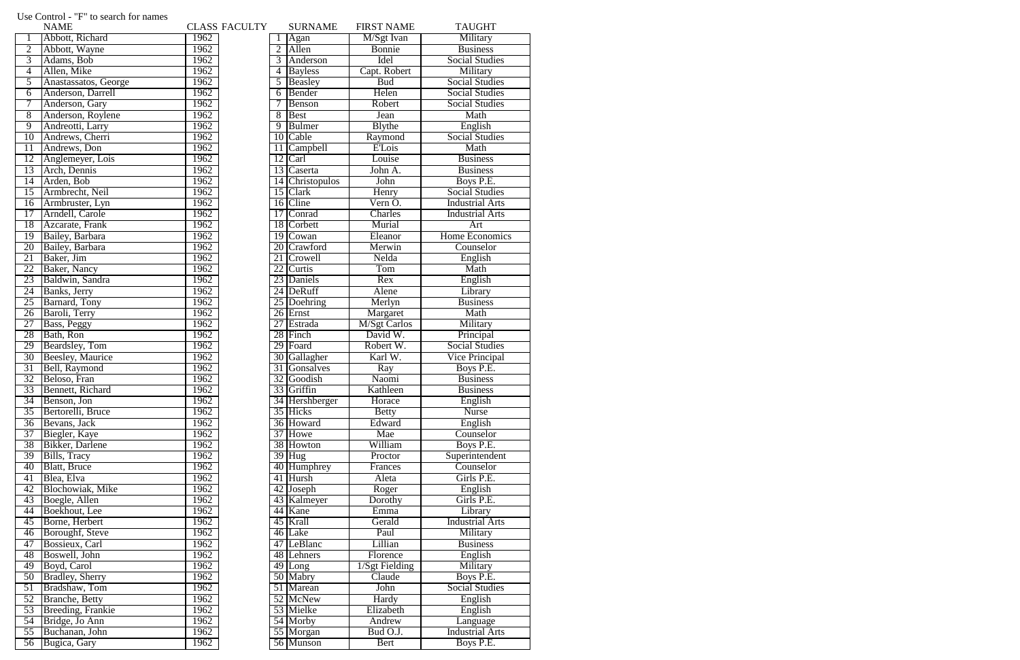|                 | <b>NAME</b>              |      | <b>CLASS FACULTY</b> |                 | <b>SURNAME</b>       | <b>FIRST NAME</b>   | <b>TAUGHT</b>          |
|-----------------|--------------------------|------|----------------------|-----------------|----------------------|---------------------|------------------------|
|                 | Abbott, Richard          | 1962 |                      |                 | Agan                 | M/Sgt Ivan          | Military               |
| $\overline{2}$  | Abbott, Wayne            | 1962 |                      | $\overline{2}$  | Allen                | Bonnie              | <b>Business</b>        |
| $\overline{3}$  | Adams, Bob               | 1962 |                      | 3               | Anderson             | Idel                | <b>Social Studies</b>  |
| $\overline{4}$  | Allen, Mike              | 1962 |                      | $\overline{4}$  | <b>Bayless</b>       | Capt. Robert        | Military               |
| 5               | Anastassatos, George     | 1962 |                      | 5               | Beasley              | <b>Bud</b>          | <b>Social Studies</b>  |
| 6               | Anderson, Darrell        | 1962 |                      | 6               | Bender               | Helen               | <b>Social Studies</b>  |
| 7               | Anderson, Gary           | 1962 |                      |                 | Benson               | Robert              | <b>Social Studies</b>  |
| 8               | Anderson, Roylene        | 1962 |                      | 8               | <b>Best</b>          | Jean                | Math                   |
| $\overline{9}$  | Andreotti, Larry         | 1962 |                      | 9               | <b>Bulmer</b>        | <b>Blythe</b>       | English                |
| 10              | Andrews, Cherri          | 1962 |                      |                 | 10 Cable             | Raymond             | <b>Social Studies</b>  |
| 11              | Andrews, Don             | 1962 |                      | 11              | <b>Campbell</b>      | <b>E'Lois</b>       | Math                   |
| 12              | Anglemeyer, Lois         | 1962 |                      |                 | 12 Carl              | Louise              | <b>Business</b>        |
| 13              | Arch, Dennis             | 1962 |                      |                 | 13 Caserta           | John A.             | <b>Business</b>        |
| $\overline{14}$ | Arden, Bob               | 1962 |                      |                 | 14 Christopulos      | John                | Boys P.E.              |
| 15              | Armbrecht, Neil          | 1962 |                      |                 | 15 Clark             | Henry               | <b>Social Studies</b>  |
| 16              | Armbruster, Lyn          | 1962 |                      |                 | 16 Cline             | Vern O.             | <b>Industrial Arts</b> |
| $\overline{17}$ | Arndell, Carole          | 1962 |                      |                 | 17 Conrad            | Charles             | <b>Industrial Arts</b> |
| 18              | Azcarate, Frank          | 1962 |                      |                 | 18 Corbett           | Murial              | Art                    |
| 19              | Bailey, Barbara          | 1962 |                      |                 | 19 Cowan             | Eleanor             | Home Economics         |
| 20              | Bailey, Barbara          | 1962 |                      |                 | 20 Crawford          | Merwin              | Counselor              |
| 21              | Baker, Jim               | 1962 |                      |                 | 21 Crowell           | Nelda               | English                |
| 22              | Baker, Nancy             | 1962 |                      |                 | 22 Curtis            | Tom                 | Math                   |
| 23              | Baldwin, Sandra          | 1962 |                      | 23              | Daniels              | Rex                 | English                |
| 24              | Banks, Jerry             | 1962 |                      |                 | 24 DeRuff            | Alene               | Library                |
| 25              | Barnard, Tony            | 1962 |                      |                 | 25 Doehring          | Merlyn              | <b>Business</b>        |
| 26              | Baroli, Terry            | 1962 |                      |                 | 26 Ernst             | Margaret            | Math                   |
| 27              | Bass, Peggy              | 1962 |                      | $\overline{27}$ | Estrada              | <b>M/Sgt Carlos</b> | Military               |
| 28              | Bath, Ron                | 1962 |                      |                 | 28 Finch             | David W.            | Principal              |
| 29              | Beardsley, Tom           | 1962 |                      |                 | 29 Foard             | Robert W.           | <b>Social Studies</b>  |
| 30              | <b>Beesley</b> , Maurice | 1962 |                      |                 | 30 Gallagher         | Karl W.             | Vice Principal         |
| 31              | Bell, Raymond            | 1962 |                      | 31              | Gonsalves            | Ray                 | Boys P.E.              |
| 32              | Beloso, Fran             | 1962 |                      |                 | 32 Goodish           | Naomi               | <b>Business</b>        |
| 33              | Bennett, Richard         | 1962 |                      |                 | 33 Griffin           | Kathleen            | <b>Business</b>        |
| 34              | Benson, Jon              | 1962 |                      |                 | 34 Hershberger       | Horace              | English                |
| $\overline{35}$ | Bertorelli, Bruce        | 1962 |                      |                 | 35 Hicks             | <b>Betty</b>        | <b>Nurse</b>           |
| $\overline{36}$ | Bevans, Jack             | 1962 |                      |                 | 36 Howard            | Edward              | English                |
| 37              | Biegler, Kaye            | 1962 |                      |                 | 37 Howe              | Mae                 | Counselor              |
| 38              | Bikker, Darlene          | 1962 |                      |                 | 38 Howton            | William             | Boys P.E.              |
| 39              | Bills, Tracy             | 1962 |                      |                 | $39$ Hug             | Proctor             | Superintendent         |
| 40              | <b>Blatt, Bruce</b>      | 1962 |                      |                 | 40 Humphrey          | Frances             | Counselor              |
| 41              | Blea, Elva               | 1962 |                      |                 | 41 Hursh             | Aleta               | Girls P.E.             |
| 42              | <b>Blochowiak</b> , Mike | 1962 |                      |                 | 42 Joseph            | Roger               | English                |
| 43              | Boegle, Allen            | 1962 |                      |                 | 43 Kalmeyer          | Dorothy             | Girls P.E.             |
| 44              | Boekhout, Lee            | 1962 |                      |                 | 44 Kane              | Emma                | Library                |
| $\overline{45}$ | Borne, Herbert           | 1962 |                      |                 | 45 Krall             | Gerald              | <b>Industrial Arts</b> |
| $\overline{46}$ | Boroughf, Steve          | 1962 |                      |                 | 46 Lake              | Paul                | Military               |
| 47              |                          | 1962 |                      |                 | 47 LeBlanc           |                     |                        |
|                 | Bossieux, Carl           |      |                      |                 |                      | Lillian             | <b>Business</b>        |
| 48              | Boswell, John            | 1962 |                      |                 | 48 Lehners           | Florence            | English                |
| 49              | Boyd, Carol              | 1962 |                      |                 | $\overline{49}$ Long | 1/Sgt Fielding      | Military               |
| $\overline{50}$ | <b>Bradley</b> , Sherry  | 1962 |                      |                 | 50 Mabry             | Claude              | Boys P.E.              |
| 51              | Bradshaw, Tom            | 1962 |                      |                 | 51 Marean            | John                | <b>Social Studies</b>  |
| 52              | <b>Branche</b> , Betty   | 1962 |                      |                 | 52 McNew             | Hardy               | English                |
| 53              | Breeding, Frankie        | 1962 |                      |                 | 53 Mielke            | Elizabeth           | English                |
| $\overline{54}$ | Bridge, Jo Ann           | 1962 |                      |                 | 54 Morby             | Andrew              | Language               |
| 55              | Buchanan, John           | 1962 |                      |                 | 55 Morgan            | Bud O.J.            | <b>Industrial Arts</b> |
| 56              | Bugica, Gary             | 1962 |                      |                 | 56 Munson            | Bert                | Boys P.E.              |

## Use Control - "F" to search for names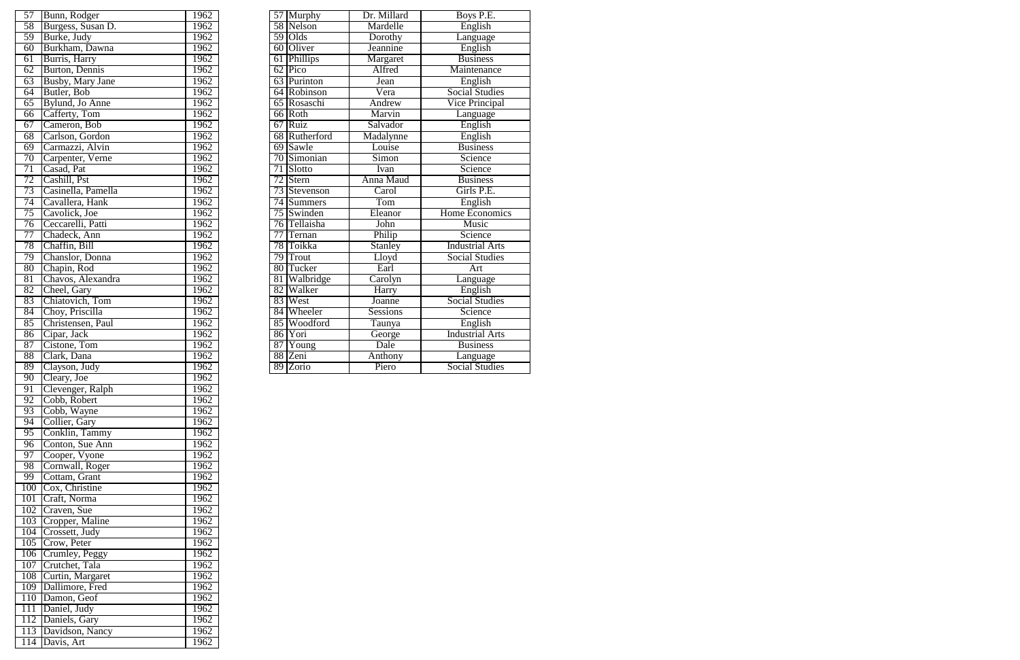| $\overline{57}$ | Bunn, Rodger            | 1962 |                 |                 | 57 Murphy   | Dr. Millard      | Boys P.E.              |
|-----------------|-------------------------|------|-----------------|-----------------|-------------|------------------|------------------------|
| $\overline{58}$ | Burgess, Susan D.       | 1962 |                 |                 | 58 Nelson   | Mardelle         | English                |
| 59              | Burke, Judy             | 1962 | 59              |                 | Olds        | Dorothy          | Language               |
| $60\,$          | Burkham, Dawna          | 1962 |                 |                 | 60 Oliver   | Jeannine         | English                |
| 61              | Burris, Harry           | 1962 | 61              |                 | Phillips    | Margaret         | <b>Business</b>        |
| 62              | Burton, Dennis          | 1962 |                 | 62              | Pico        | Alfred           | Maintenance            |
| 63              | <b>Busby, Mary Jane</b> | 1962 |                 | 63              | Purinton    | Jean             | English                |
| 64              | Butler, Bob             | 1962 |                 |                 | 64 Robinson | Vera             | <b>Social Studies</b>  |
| 65              | Bylund, Jo Anne         | 1962 |                 |                 | 65 Rosaschi | Andrew           | <b>Vice Principal</b>  |
| $\overline{66}$ | Cafferty, Tom           | 1962 |                 |                 | 66 Roth     | Marvin           | Language               |
| $\overline{67}$ | Cameron, Bob            | 1962 | 67              |                 | Ruiz        | Salvador         | English                |
| $\overline{68}$ | Carlson, Gordon         | 1962 | 68              |                 | Rutherford  | Madalynne        | English                |
| 69              | Carmazzi, Alvin         | 1962 |                 |                 | 69 Sawle    | Louise           | <b>Business</b>        |
| 70              | Carpenter, Verne        | 1962 |                 | 70              | Simonian    | Simon            | Science                |
| 71              | Casad, Pat              | 1962 |                 | 71              | Slotto      | Ivan             | Science                |
| $\overline{72}$ | Cashill, Pst            | 1962 |                 | $\overline{72}$ | Stern       | <b>Anna Maud</b> | <b>Business</b>        |
| 73              | Casinella, Pamella      | 1962 |                 | 73              | Stevenson   | Carol            | Girls P.E.             |
| 74              | Cavallera, Hank         | 1962 |                 | $\overline{74}$ | Summers     | Tom              | English                |
| 75              | Cavolick, Joe           | 1962 | $\overline{75}$ |                 | Swinden     | Eleanor          | <b>Home Economics</b>  |
| $\overline{76}$ | Ceccarelli, Patti       | 1962 |                 | $\overline{76}$ | Tellaisha   | John             | <b>Music</b>           |
| 77              | Chadeck, Ann            | 1962 | 77              |                 | Ternan      | Philip           | Science                |
| 78              | Chaffin, Bill           | 1962 |                 | $\overline{78}$ | Toikka      | <b>Stanley</b>   | <b>Industrial Arts</b> |
| 79              | Chanslor, Donna         | 1962 |                 | 79              | Trout       | Lloyd            | <b>Social Studies</b>  |
| $80\,$          | Chapin, Rod             | 1962 |                 | 80              | Tucker      | Earl             | Art                    |
| $\overline{81}$ | Chavos, Alexandra       | 1962 | 81              |                 | Walbridge   | Carolyn          | <b>L</b> anguage       |
| 82              | Cheel, Gary             | 1962 | 82              |                 | Walker      | Harry            | English                |
| 83              | Chiatovich, Tom         | 1962 | 83              |                 | West        | Joanne           | <b>Social Studies</b>  |
| 84              | Choy, Priscilla         | 1962 |                 | 84              | Wheeler     | <b>Sessions</b>  | Science                |
| $\overline{85}$ | Christensen, Paul       | 1962 | 85              |                 | Woodford    | Taunya           | English                |
| 86              | Cipar, Jack             | 1962 |                 | 86              | Yori        | George           | <b>Industrial Arts</b> |
| $\overline{87}$ | Cistone, Tom            | 1962 | 87              |                 | Young       | Dale             | <b>Business</b>        |
| 88              | Clark, Dana             | 1962 | 88              |                 | Zeni        | Anthony          | Language               |
| 89              | Clayson, Judy           | 1962 | 89              |                 | Zorio       | Piero            | <b>Social Studies</b>  |
|                 |                         |      |                 |                 |             |                  |                        |

| 57              | Bunn, Rodger                      | 1962 |
|-----------------|-----------------------------------|------|
| 58              | Burgess, Susan D.                 | 1962 |
| 59              | Burke, Judy                       | 1962 |
| 60              | Burkham, Dawna                    | 1962 |
| 61              | Burris, Harry                     | 1962 |
| 62              |                                   | 1962 |
|                 | Burton, Dennis                    |      |
| 63              | <b>Busby, Mary Jane</b>           | 1962 |
| 64              | Butler, Bob                       | 1962 |
| 65              | Bylund, Jo Anne                   | 1962 |
| 66              | Cafferty, Tom                     | 1962 |
| 67              | Cameron, Bob                      | 1962 |
| 68              | Carlson, Gordon                   | 1962 |
| 69              | Carmazzi, Alvin                   | 1962 |
| 70              | Carpenter, Verne                  | 1962 |
| $\overline{71}$ | Casad, Pat                        | 1962 |
| $\overline{72}$ | Cashill, Pst                      | 1962 |
| 73              | Casinella, Pamella                | 1962 |
| 74              | Cavallera, Hank                   | 1962 |
| 75              | Cavolick, Joe                     | 1962 |
| 76              | Ceccarelli, Patti                 | 1962 |
| 77              | Chadeck, Ann                      | 1962 |
|                 |                                   |      |
| 78              | Chaffin, Bill                     | 1962 |
| 79              | Chanslor, Donna                   | 1962 |
| $\overline{80}$ | Chapin, Rod                       | 1962 |
| 81              | Chavos, Alexandra                 | 1962 |
| 82              | Cheel, Gary                       | 1962 |
| 83              | Chiatovich, Tom                   | 1962 |
| 84              | Choy, Priscilla                   | 1962 |
| 85              | Christensen, Paul                 | 1962 |
| 86              | Cipar, Jack                       | 1962 |
| 87              | Cistone, Tom                      | 1962 |
| 88              | Clark, Dana                       | 1962 |
| 89              | Clayson, Judy                     | 1962 |
| 90              | Cleary, Joe                       | 1962 |
| 91              | Clevenger, Ralph                  | 1962 |
| 92              | Cobb, Robert                      | 1962 |
| 93              | Cobb, Wayne                       | 1962 |
| 94              | Collier, Gary                     | 1962 |
|                 |                                   |      |
| 95              | Conklin, Tammy<br>Conton, Sue Ann | 1962 |
| 96              |                                   | 1962 |
| 97              | Cooper, Vyone                     | 1962 |
| 98              | Cornwall, Roger                   | 1962 |
| 99              | Cottam, Grant                     | 1962 |
| 100             | Cox, Christine                    | 1962 |
| 101             | Craft, Norma                      | 1962 |
| 102             | Craven, Sue                       | 1962 |
| 103             | Cropper, Maline                   | 1962 |
| 104             | Crossett, Judy                    | 1962 |
| 105             | Crow, Peter                       | 1962 |
| 106             | Crumley, Peggy                    | 1962 |
| 107             | Crutchet, Tala                    | 1962 |
| 108             | Curtin, Margaret                  | 1962 |
| 109             | Dallimore, Fred                   | 1962 |
| 110             | Damon, Geof                       | 1962 |
| 111             | Daniel, Judy                      | 1962 |
| 112             | Daniels, Gary                     | 1962 |
| 113             | Davidson, Nancy                   | 1962 |
| 114             |                                   | 1962 |
|                 | Davis, Art                        |      |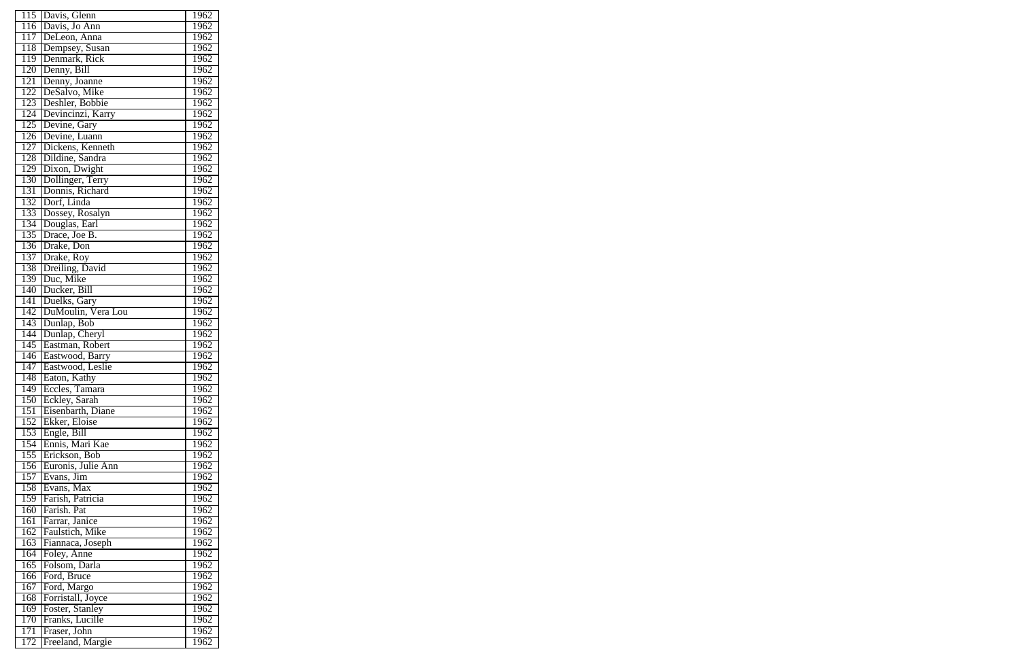| 115              | Davis, Glenn             | 1962              |
|------------------|--------------------------|-------------------|
| 116              | Davis, Jo Ann            | 1962              |
| 117              | DeLeon, Anna             | 1962              |
| 118              | Dempsey, Susan           | 1962              |
| 119              | Denmark, Rick            | 1962              |
| 120              | Denny, Bill              | 1962              |
| $\overline{121}$ | Denny, Joanne            | 1962              |
| 122              | DeSalvo, Mike            | 1962              |
| 123              | Deshler, Bobbie          | 1962              |
| 124              | Devincinzi, Karry        | $1\overline{962}$ |
| 125              | Devine, Gary             | 1962              |
| $\overline{126}$ | Devine, Luann            | 1962              |
| 127              | Dickens, Kenneth         | 1962              |
| 128              | Dildine, Sandra          | 1962              |
| 129              | Dixon, Dwight            | 1962              |
| 130              | Dollinger, Terry         | 1962              |
| 131              | Donnis, Richard          | 1962              |
| 132              | Dorf, Linda              | 1962              |
| 133              | Dossey, Rosalyn          | 1962              |
| 134              | Douglas, Earl            | $1\overline{962}$ |
| 135              |                          | 1962              |
|                  | Drace, Joe B.            |                   |
| 136              | Drake, Don               | 1962              |
| 137              | Drake, Roy               | 1962              |
| 138              | Dreiling, David          | 1962              |
| 139              | Duc, Mike                | 1962              |
| 140              | Ducker, Bill             | 1962              |
| 141              | Duelks, Gary             | 1962              |
| 142              | DuMoulin, Vera Lou       | 1962              |
| 143              | Dunlap, Bob              | 1962              |
| 144              | Dunlap, Cheryl           | 1962              |
| 145              | Eastman, Robert          | 1962              |
| 146              | Eastwood, Barry          | 1962              |
| $1\overline{47}$ | Eastwood, Leslie         | 1962              |
| 148              | Eaton, Kathy             | 1962              |
| $\overline{149}$ | Eccles, Tamara           | 1962              |
| 150              | Eckley, Sarah            | 1962              |
| $1\overline{51}$ | Eisenbarth, Diane        | 1962              |
| 152              | Ekker, Eloise            | 1962              |
| 153              | Engle, Bill              | 1962              |
| 154              | Ennis, Mari Kae          | 1962              |
| 155              | Erickson, Bob            | 1962              |
| 156              | Euronis, Julie Ann       | 1962              |
| 157              | $\overline{E}$ vans, Jim | 1962              |
| 158              | Evans, Max               | 1962              |
| 159              | Farish, Patricia         | $196\overline{2}$ |
| 160              | Farish. Pat              | 1962              |
| 161              | Farrar, Janice           | 1962              |
| 162              | Faulstich, Mike          | 1962              |
| 163              | Fiannaca, Joseph         | 1962              |
| 164              | Foley, Anne              | 1962              |
| 165              | Folsom, Darla            | 1962              |
| 166              | Ford, Bruce              | 1962              |
| 167              | Ford, Margo              | <u>1962</u>       |
| 168              | Forristall, Joyce        | 1962              |
| 169              | Foster, Stanley          | 1962              |
| 170              | Franks, Lucille          | 1962              |
| $1\overline{71}$ | Fraser, John             | 1962              |
| 172              | Freeland, Margie         | 1962              |
|                  |                          |                   |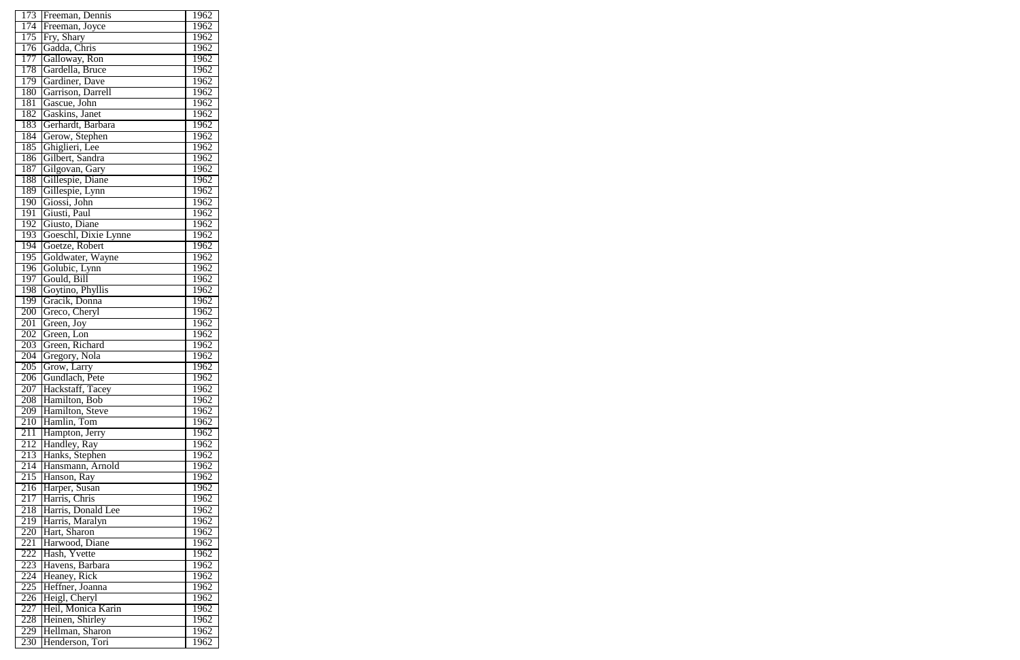| 173 | Freeman, Dennis      | 1962 |
|-----|----------------------|------|
| 174 | Freeman, Joyce       | 1962 |
| 175 | Fry, Shary           | 1962 |
| 176 | Gadda, Chris         | 1962 |
| 177 | Galloway, Ron        | 1962 |
| 178 | Gardella, Bruce      | 1962 |
| 179 | Gardiner, Dave       | 1962 |
| 180 | Garrison, Darrell    | 1962 |
| 181 | Gascue, John         | 1962 |
| 182 | Gaskins, Janet       | 1962 |
| 183 | Gerhardt, Barbara    | 1962 |
|     |                      |      |
| 184 | Gerow, Stephen       | 1962 |
| 185 | Ghiglieri, Lee       | 1962 |
| 186 | Gilbert, Sandra      | 1962 |
| 187 | Gilgovan, Gary       | 1962 |
| 188 | Gillespie, Diane     | 1962 |
| 189 | Gillespie, Lynn      | 1962 |
| 190 | Giossi, John         | 1962 |
| 191 | Giusti, Paul         | 1962 |
| 192 | Giusto, Diane        | 1962 |
| 193 | Goeschl, Dixie Lynne | 1962 |
| 194 | Goetze, Robert       | 1962 |
| 195 | Goldwater, Wayne     | 1962 |
| 196 | Golubic, Lynn        | 1962 |
| 197 | Gould, Bill          | 1962 |
| 198 | Goytino, Phyllis     | 1962 |
| 199 | Gracik, Donna        | 1962 |
| 200 | Greco, Cheryl        | 1962 |
| 201 | Green, Joy           | 1962 |
| 202 | Green, Lon           | 1962 |
| 203 | Green, Richard       | 1962 |
| 204 | Gregory, Nola        | 1962 |
| 205 | Grow, Larry          | 1962 |
| 206 | Gundlach, Pete       | 1962 |
| 207 | Hackstaff, Tacey     | 1962 |
| 208 | Hamilton, Bob        | 1962 |
| 209 | Hamilton, Steve      | 1962 |
| 210 | Hamlin, Tom          | 1962 |
| 211 | Hampton, Jerry       | 1962 |
| 212 | Handley, Ray         | 1962 |
| 213 | Hanks, Stephen       | 1962 |
| 214 | Hansmann, Arnold     | 1962 |
| 215 | Hanson, Ray          | 1962 |
| 216 | Harper, Susan        | 1962 |
| 217 | Harris, Chris        | 1962 |
| 218 | Harris, Donald Lee   | 1962 |
| 219 | Harris, Maralyn      | 1962 |
| 220 | Hart, Sharon         | 1962 |
| 221 | Harwood, Diane       | 1962 |
| 222 | Hash, Yvette         | 1962 |
| 223 | Havens, Barbara      | 1962 |
| 224 | Heaney, Rick         | 1962 |
| 225 | Heffner, Joanna      | 1962 |
| 226 | Heigl, Cheryl        | 1962 |
| 227 | Heil, Monica Karin   | 1962 |
| 228 | Heinen, Shirley      | 1962 |
| 229 | Hellman, Sharon      | 1962 |
| 230 | Henderson, Tori      | 1962 |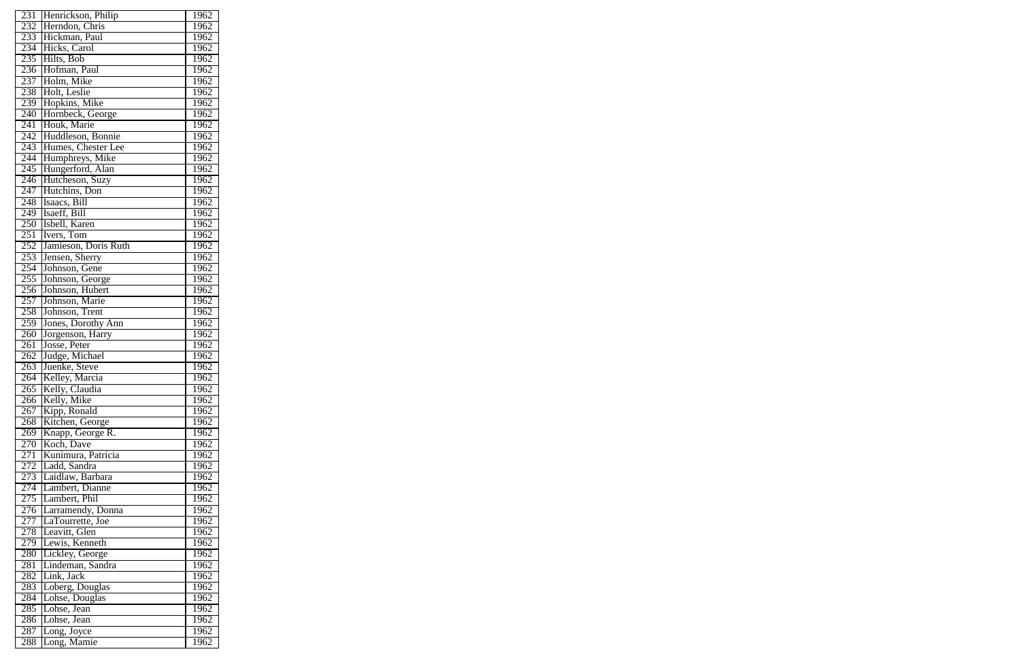| 231              | Henrickson, Philip   | 1962              |
|------------------|----------------------|-------------------|
| 232              | Herndon, Chris       | 1962              |
| 233              | Hickman, Paul        | 1962              |
| 234              | Hicks, Carol         | 1962              |
| 235              | Hilts, Bob           | 1962              |
| 236              | Hofman, Paul         | 1962              |
| 237              | Holm, Mike           | 1962              |
| 238              | Holt, Leslie         | 1962              |
| 239              | Hopkins, Mike        | 1962              |
| 240              | Hornbeck, George     | 1962              |
| 241              | Houk, Marie          | 1962              |
|                  |                      |                   |
| 242              | Huddleson, Bonnie    | 1962              |
| 243              | Humes, Chester Lee   | 1962              |
| $\overline{244}$ | Humphreys, Mike      | 1962              |
| 245              | Hungerford, Alan     | 1962              |
| 246              | Hutcheson, Suzy      | 1962              |
| $2\overline{47}$ | Hutchins, Don        | 1962              |
| 248              | Isaacs, Bill         | 1962              |
| $\overline{249}$ | Isaeff, Bill         | 1962              |
| 250              | Isbell, Karen        | $1\overline{962}$ |
| 251              | Ivers, Tom           | 1962              |
| 252              | Jamieson, Doris Ruth | 1962              |
| 253              | Jensen, Sherry       | 1962              |
| 254              | Johnson, Gene        | 1962              |
| 255              | Johnson, George      | 1962              |
| 256              | Johnson, Hubert      | 1962              |
| 257              | Johnson, Marie       | 1962              |
| 258              | Johnson, Trent       | 1962              |
| 259              | Jones, Dorothy Ann   | 1962              |
| 260              | Jorgenson, Harry     | 1962              |
| $\overline{261}$ | Josse, Peter         | 1962              |
| 262              | Judge, Michael       | 1962              |
| 263              | Juenke, Steve        | 1962              |
| 264              | Kelley, Marcia       | 1962              |
| 265              | Kelly, Claudia       | 1962              |
| 266              | Kelly, Mike          | 1962              |
| 267              | Kipp, Ronald         | 1962              |
| 268              | Kitchen, George      | 1962              |
| 269              | Knapp, George R.     | 1962              |
| 270              | Koch, Dave           | 1962              |
| 271              | Kunimura, Patricia   | 1962              |
| 272              | Ladd, Sandra         | 1962              |
| 273              | Laidlaw, Barbara     | 1962              |
| 274              | Lambert, Dianne      | 1962              |
| 275              | Lambert, Phil        | 1962              |
| 276              | Larramendy, Donna    | 1962              |
| 277              | LaTourrette, Joe     | 1962              |
| 278              | Leavitt, Glen        | 1962              |
| 279              | Lewis, Kenneth       | 1962              |
| 280              | Lickley, George      | 1962              |
| 281              | Lindeman, Sandra     | 1962              |
| $2\overline{82}$ | Link, Jack           | 1962              |
| 283              | Loberg, Douglas      | 1962              |
| 284              | Lohse, Douglas       | 1962              |
| 285              | Lohse, Jean          | 1962              |
| 286              | Lohse, Jean          | 1962              |
| 287              | Long, Joyce          | 1962              |
| 288              | Long, Mamie          | 1962              |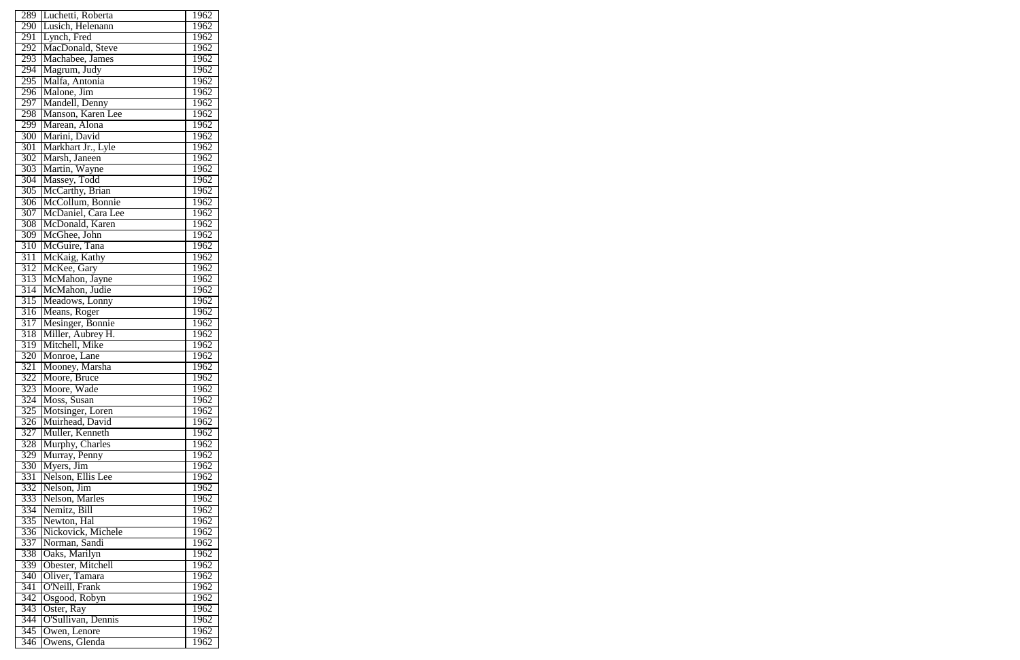| 289              | Luchetti, Roberta                | 1962              |
|------------------|----------------------------------|-------------------|
| 290              | Lusich, Helenann                 | 1962              |
| 291              | Lynch, Fred                      | 1962              |
| 292              | MacDonald, Steve                 | 1962              |
| 293              | Machabee, James                  | 1962              |
| 294              | Magrum, Judy                     | 1962              |
| 295              | Malfa, Antonia                   | 1962              |
|                  |                                  |                   |
| 296              | Malone, Jim                      | 1962              |
| 297              | Mandell, Denny                   | 1962              |
| 298              | Manson, Karen Lee                | $1\overline{962}$ |
| 299              | Marean, Alona                    | 1962              |
| 300              | Marini, David                    | 1962              |
| 301              | Markhart Jr., Lyle               | 1962              |
| 302              | Marsh, Janeen                    | 1962              |
| 303              | Martin, Wayne                    | 1962              |
| 304              | Massey, Todd                     | 1962              |
| 305              | McCarthy, Brian                  | 1962              |
| 306              | McCollum, Bonnie                 | 1962              |
| 307              | McDaniel, Cara Lee               | 1962              |
| 308              | McDonald, Karen                  | 1962              |
| $\overline{309}$ | McGhee, John                     | 1962              |
| 310              | McGuire, Tana                    | 1962              |
| 311              | McKaig, Kathy                    | 1962              |
|                  |                                  |                   |
| 312              | McKee, Gary                      | 1962              |
| 313              | McMahon, Jayne                   | 1962              |
| 314              | McMahon, Judie                   | 1962              |
| 315              | Meadows, Lonny                   | 1962              |
| 316              | Means, Roger                     | 1962              |
| 317              | Mesinger, Bonnie                 | 1962              |
| 318              | Miller, Aubrey H.                | 1962              |
| 319              | Mitchell, Mike                   | 1962              |
| 320              | Monroe, Lane                     | 1962              |
| $\overline{321}$ | Mooney, Marsha                   | 1962              |
| 322              | Moore, Bruce                     | 1962              |
| 323              | Moore, Wade                      | 1962              |
| 324              | Moss, Susan                      | 1962              |
| $32\overline{5}$ | Motsinger, Loren                 | 1962              |
| $\overline{3}26$ | Muirhead, David                  | 1962              |
| 327              | Muller, Kenneth                  | 1962              |
| 328              | Murphy, Charles                  | $196\overline{2}$ |
| 329              | Murray, Penny                    | 1962              |
| 330              | Myers, Jim                       | 1962              |
| 331              |                                  |                   |
|                  | Nelson, Ellis Lee<br>Nelson, Jim | 1962              |
| 332              |                                  | 1962              |
| 333              | Nelson, Marles                   | 1962              |
| 334              | Nemitz, Bill                     | 1962              |
| 335              | Newton, Hal                      | 1962              |
| 336              | Nickovick, Michele               | 1962              |
| 337              | Norman, Sandi                    | 1962              |
| 338              | Oaks, Marilyn                    | 1962              |
| 339              | Obester, Mitchell                | 1962              |
| 340              | Oliver, Tamara                   | 1962              |
| $\overline{341}$ | O'Neill, Frank                   | 1962              |
| 342              | Osgood, Robyn                    | 1962              |
| 343              | Oster, Ray                       | 1962              |
| 344              | O'Sullivan, Dennis               | 1962              |
| 345              | Owen, Lenore                     | 1962              |
| 346              | Owens, Glenda                    | 1962              |
|                  |                                  |                   |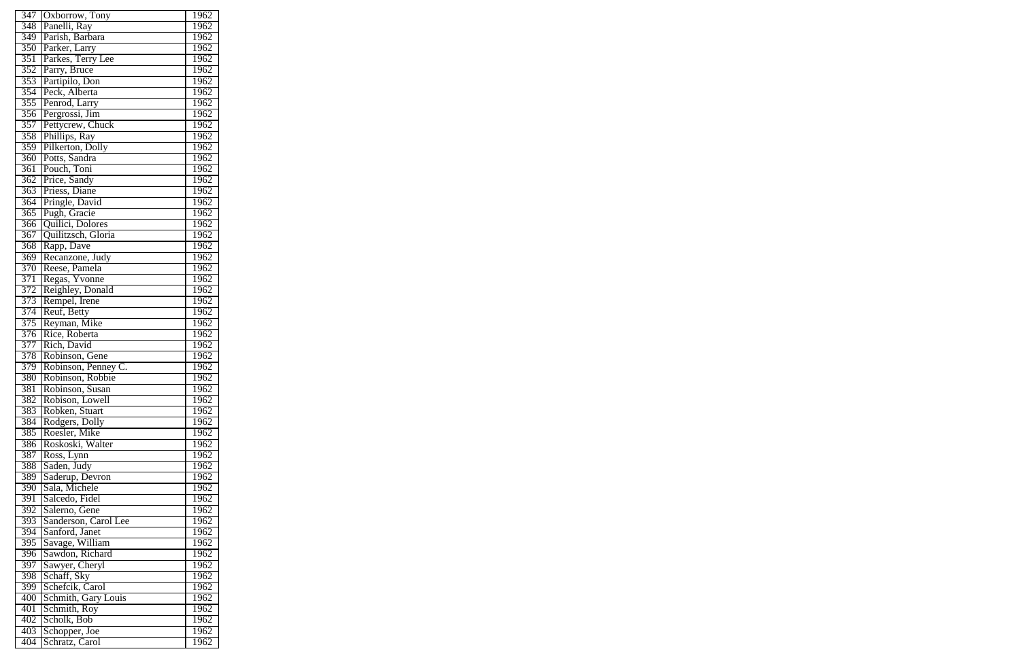| 347              | Oxborrow, Tony       | 1962              |
|------------------|----------------------|-------------------|
| 348              | Panelli, Ray         | 1962              |
| 349              | Parish, Barbara      | 1962              |
| 350              | Parker, Larry        | 1962              |
| 351              | Parkes, Terry Lee    | 1962              |
| 352              | Parry, Bruce         | 1962              |
| 353              | Partipilo, Don       | 1962              |
| 354              | Peck, Alberta        | 1962              |
| 355              | Penrod, Larry        | 1962              |
| 356              | Pergrossi, Jim       | 1962              |
|                  |                      | 1962              |
| 357              | Pettycrew, Chuck     |                   |
| 358              | Phillips, Ray        | 1962              |
| 359              | Pilkerton, Dolly     | 1962              |
| 360              | Potts, Sandra        | 1962              |
| 361              | Pouch, Toni          | 1962              |
| 362              | Price, Sandy         | 1962              |
| $36\overline{3}$ | Priess, Diane        | 1962              |
| 364              | Pringle, David       | 1962              |
| $\overline{365}$ | Pugh, Gracie         | 1962              |
| 366              | Quilici, Dolores     | 1962              |
| $\overline{367}$ | Quilitzsch, Gloria   | 1962              |
| 368              | Rapp, Dave           | 1962              |
| 369              | Recanzone, Judy      | 1962              |
| 370              | Reese, Pamela        | 1962              |
| 371              | Regas, Yvonne        | $1\overline{962}$ |
| 372              | Reighley, Donald     | 1962              |
| 373              | Rempel, Irene        | 1962              |
| 374              | Reuf, Betty          | 1962              |
| 375              | Reyman, Mike         | 1962              |
| 376              | Rice, Roberta        | 1962              |
| 377              | Rich, David          | 1962              |
| 378              | Robinson, Gene       | 1962              |
| 379              | Robinson, Penney C.  | 1962              |
| 380              | Robinson, Robbie     | 1962              |
| 381              | Robinson, Susan      | 1962              |
| 382              | Robison, Lowell      | 1962              |
| 383              | Robken, Stuart       | 1962              |
| 384              | Rodgers, Dolly       | 1962              |
| 385              | Roesler, Mike        | 1962              |
| 386              | Roskoski, Walter     | 1962              |
| 387              | Ross, Lynn           | 1962              |
| 388              | Saden, Judy          | 1962              |
| 389              | Saderup, Devron      | 1962              |
| 390              | Sala, Michele        | 1962              |
| $\overline{391}$ | Salcedo, Fidel       | 1962              |
| 392              | Salerno, Gene        | 1962              |
| 393              | Sanderson, Carol Lee | 1962              |
| 394              | Sanford, Janet       | 1962              |
| 395              | Savage, William      | 1962              |
| $\overline{396}$ | Sawdon, Richard      | 1962              |
| $39\overline{7}$ | Sawyer, Cheryl       | 1962              |
| 398              | Schaff, Sky          | 1962              |
| 399              | Schefcik, Carol      | <u>1962</u>       |
| 400              | Schmith, Gary Louis  | 1962              |
| 401              | Schmith, Roy         | 1962              |
| 402              | Scholk, Bob          | 1962              |
| 403              | Schopper, Joe        | 1962              |
| 404              | Schratz, Carol       | 1962              |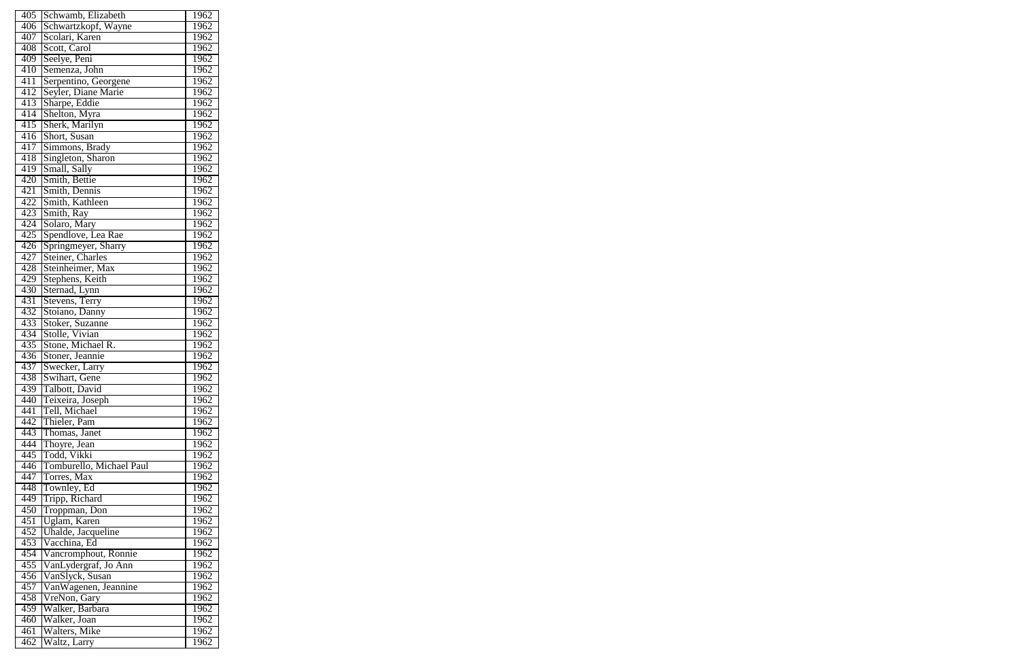| 405              | Schwamb, Elizabeth       | 1962 |
|------------------|--------------------------|------|
| 406              | Schwartzkopf, Wayne      | 1962 |
| 407              | Scolari, Karen           | 1962 |
| 408              | Scott, Carol             | 1962 |
| 409              | Seelye, Peni             | 1962 |
| 410              | Semenza, John            | 1962 |
| 411              | Serpentino, Georgene     | 1962 |
| 412              | Seyler, Diane Marie      | 1962 |
| 413              | Sharpe, Eddie            | 1962 |
| 414              | Shelton, Myra            | 1962 |
| 415              | Sherk, Marilyn           | 1962 |
| 416              | Short, Susan             | 1962 |
| 417              | Simmons, Brady           | 1962 |
| 418              | Singleton, Sharon        | 1962 |
| 419              | Small, Sally             | 1962 |
| 420              | Smith, Bettie            | 1962 |
| 421              | Smith, Dennis            | 1962 |
| 422              | Smith, Kathleen          | 1962 |
| 423              | Smith, Ray               | 1962 |
| 424              |                          | 1962 |
|                  | Solaro, Mary             |      |
| 425              | Spendlove, Lea Rae       | 1962 |
| 426              | Springmeyer, Sharry      | 1962 |
| 427              | Steiner, Charles         | 1962 |
| 428              | Steinheimer, Max         | 1962 |
| 429              | Stephens, Keith          | 1962 |
| 430              | Sternad, Lynn            | 1962 |
| 431              | Stevens, Terry           | 1962 |
| 432              | Stoiano, Danny           | 1962 |
| 433              | Stoker, Suzanne          | 1962 |
| 434              | Stolle, Vivian           | 1962 |
| 435              | Stone, Michael R.        | 1962 |
| 436              | Stoner, Jeannie          | 1962 |
| 437              | Swecker, Larry           | 1962 |
| 438              | Swihart, Gene            | 1962 |
| 439              | Talbott, David           | 1962 |
| 440              | Teixeira, Joseph         | 1962 |
| 441              | Tell, Michael            | 1962 |
| 442              | Thieler, Pam             | 1962 |
| 443              | Thomas, Janet            | 1962 |
| 444              | Thoyre, Jean             | 1962 |
| 445              | Todd, Vikki              | 1962 |
| 446              | Tomburello, Michael Paul | 1962 |
| 447              | Torres, Max              | 1962 |
| 448              | Townley, Ed              | 1962 |
| 449              | Tripp, Richard           | 1962 |
| 450              | Troppman, Don            | 1962 |
| $\overline{451}$ | Uglam, Karen             | 1962 |
| 452              | Uhalde, Jacqueline       | 1962 |
| 453              | Vacchina, Ed             | 1962 |
| 454              | Vancromphout, Ronnie     | 1962 |
| 455              | VanLydergraf, Jo Ann     | 1962 |
| 456              | VanSlyck, Susan          | 1962 |
| 457              | VanWagenen, Jeannine     | 1962 |
| 458              | VreNon, Gary             | 1962 |
| 459              | Walker, Barbara          | 1962 |
| 460              | Walker, Joan             | 1962 |
| 461              | Walters, Mike            | 1962 |
| 462              |                          | 1962 |
|                  | Waltz, Larry             |      |